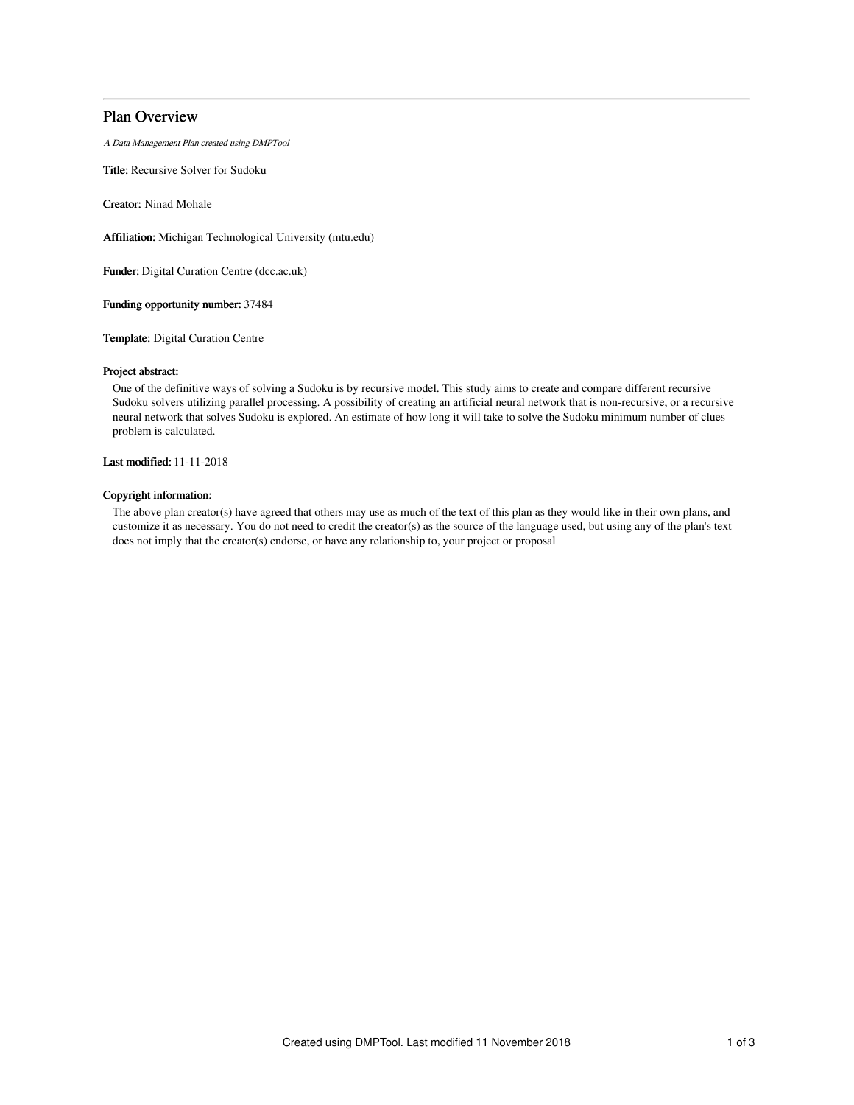# Plan Overview

A Data Management Plan created using DMPTool

Title: Recursive Solver for Sudoku

Creator: Ninad Mohale

Affiliation: Michigan Technological University (mtu.edu)

Funder: Digital Curation Centre (dcc.ac.uk)

Funding opportunity number: 37484

Template: Digital Curation Centre

### Project abstract:

One of the definitive ways of solving a Sudoku is by recursive model. This study aims to create and compare different recursive Sudoku solvers utilizing parallel processing. A possibility of creating an artificial neural network that is non-recursive, or a recursive neural network that solves Sudoku is explored. An estimate of how long it will take to solve the Sudoku minimum number of clues problem is calculated.

Last modified: 11-11-2018

# Copyright information:

The above plan creator(s) have agreed that others may use as much of the text of this plan as they would like in their own plans, and customize it as necessary. You do not need to credit the creator(s) as the source of the language used, but using any of the plan's text does not imply that the creator(s) endorse, or have any relationship to, your project or proposal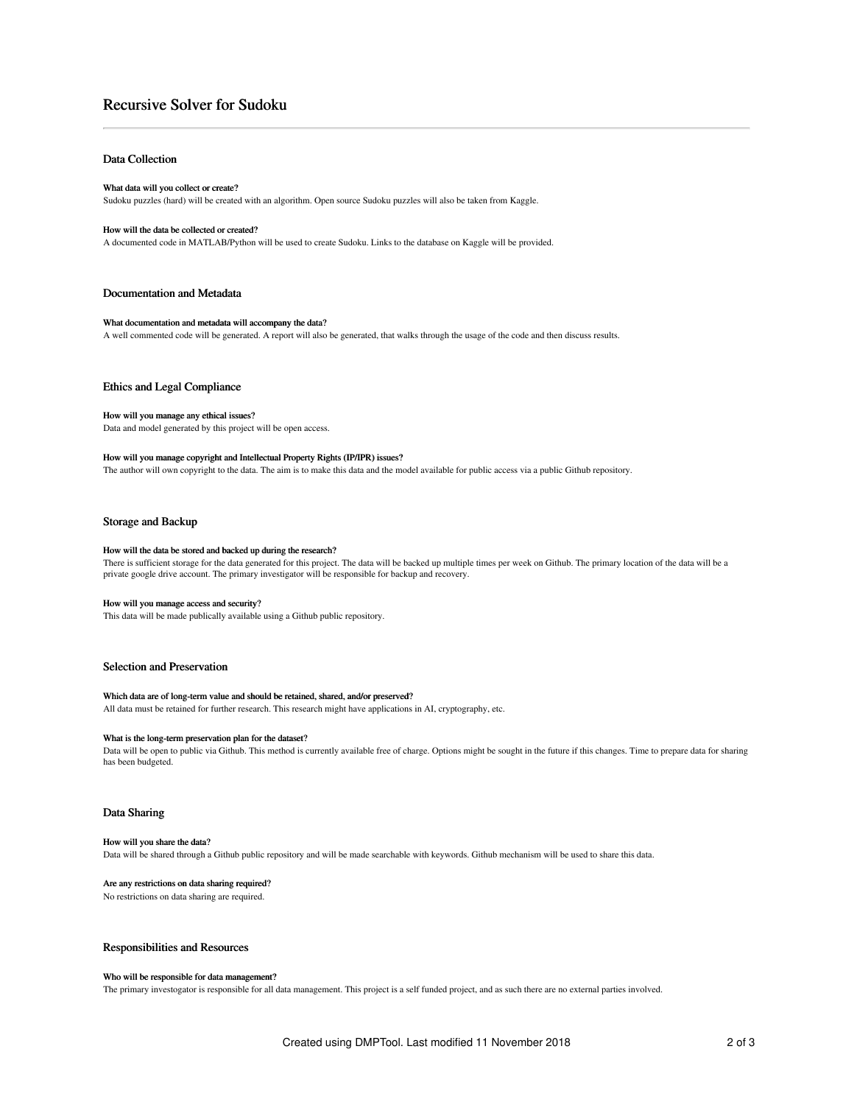# Recursive Solver for Sudoku

# Data Collection

### What data will you collect or create?

Sudoku puzzles (hard) will be created with an algorithm. Open source Sudoku puzzles will also be taken from Kaggle.

## How will the data be collected or created?

A documented code in MATLAB/Python will be used to create Sudoku. Links to the database on Kaggle will be provided.

### Documentation and Metadata

### What documentation and metadata will accompany the data?

A well commented code will be generated. A report will also be generated, that walks through the usage of the code and then discuss results.

### Ethics and Legal Compliance

### How will you manage any ethical issues?

Data and model generated by this project will be open access.

#### How will you manage copyright and Intellectual Property Rights (IP/IPR) issues?

The author will own copyright to the data. The aim is to make this data and the model available for public access via a public Github repository.

# Storage and Backup

# How will the data be stored and backed up during the research?

There is sufficient storage for the data generated for this project. The data will be backed up multiple times per week on Github. The primary location of the data will be a private google drive account. The primary investigator will be responsible for backup and recovery.

### How will you manage access and security?

This data will be made publically available using a Github public repository.

## Selection and Preservation

### Which data are of long-term value and should be retained, shared, and/or preserved?

All data must be retained for further research. This research might have applications in AI, cryptography, etc.

### What is the long-term preservation plan for the dataset?

Data will be open to public via Github. This method is currently available free of charge. Options might be sought in the future if this changes. Time to prepare data for sharing has been budgeted.

# Data Sharing

### How will you share the data?

Data will be shared through a Github public repository and will be made searchable with keywords. Github mechanism will be used to share this data.

### Are any restrictions on data sharing required?

No restrictions on data sharing are required.

### Responsibilities and Resources

## Who will be responsible for data management?

The primary investogator is responsible for all data management. This project is a self funded project, and as such there are no external parties involved.